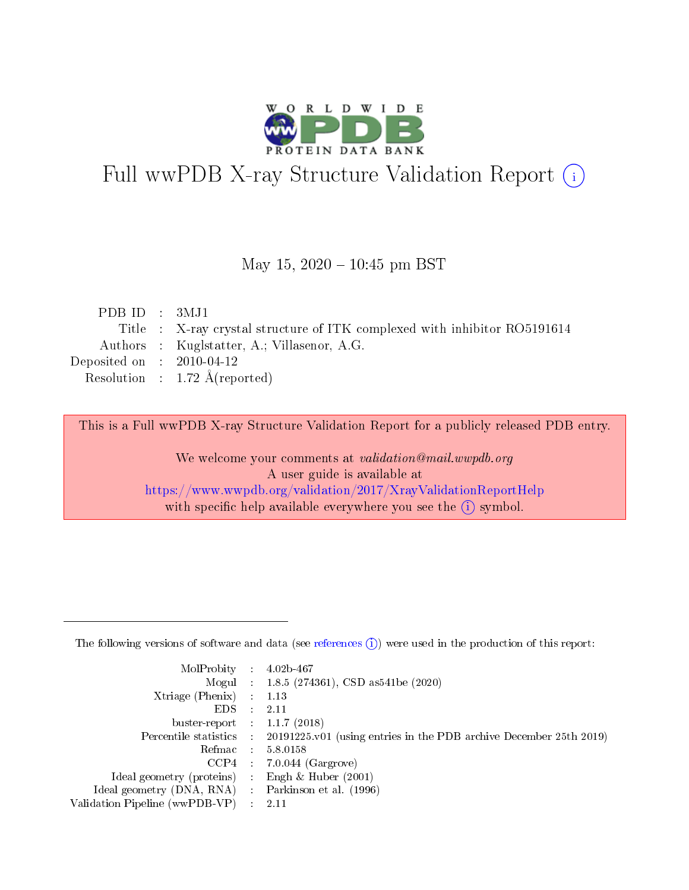

# Full wwPDB X-ray Structure Validation Report (i)

#### May 15,  $2020 - 10:45$  pm BST

| PDB ID : $3MJ1$             |                                                                           |
|-----------------------------|---------------------------------------------------------------------------|
|                             | Title : X-ray crystal structure of ITK complexed with inhibitor RO5191614 |
|                             | Authors : Kuglstatter, A.; Villasenor, A.G.                               |
| Deposited on : $2010-04-12$ |                                                                           |
|                             | Resolution : $1.72 \text{ Å}$ (reported)                                  |
|                             |                                                                           |

This is a Full wwPDB X-ray Structure Validation Report for a publicly released PDB entry.

We welcome your comments at validation@mail.wwpdb.org A user guide is available at <https://www.wwpdb.org/validation/2017/XrayValidationReportHelp> with specific help available everywhere you see the  $(i)$  symbol.

The following versions of software and data (see [references](https://www.wwpdb.org/validation/2017/XrayValidationReportHelp#references)  $(1)$ ) were used in the production of this report:

| MolProbity :                   |               | $4.02b - 467$                                                               |
|--------------------------------|---------------|-----------------------------------------------------------------------------|
|                                |               | Mogul : $1.8.5$ (274361), CSD as 541be (2020)                               |
| $X$ triage (Phenix) :          |               | 1.13                                                                        |
| EDS.                           |               | 2.11                                                                        |
| buster-report : $1.1.7$ (2018) |               |                                                                             |
| Percentile statistics :        |               | $20191225 \text{v}01$ (using entries in the PDB archive December 25th 2019) |
| Refmac :                       |               | 5.8.0158                                                                    |
| $CCP4$ :                       |               | $7.0.044$ (Gargrove)                                                        |
| Ideal geometry (proteins) :    |               | Engh $\&$ Huber (2001)                                                      |
| Ideal geometry (DNA, RNA) :    |               | Parkinson et al. (1996)                                                     |
| Validation Pipeline (wwPDB-VP) | $\mathcal{L}$ | 2.11                                                                        |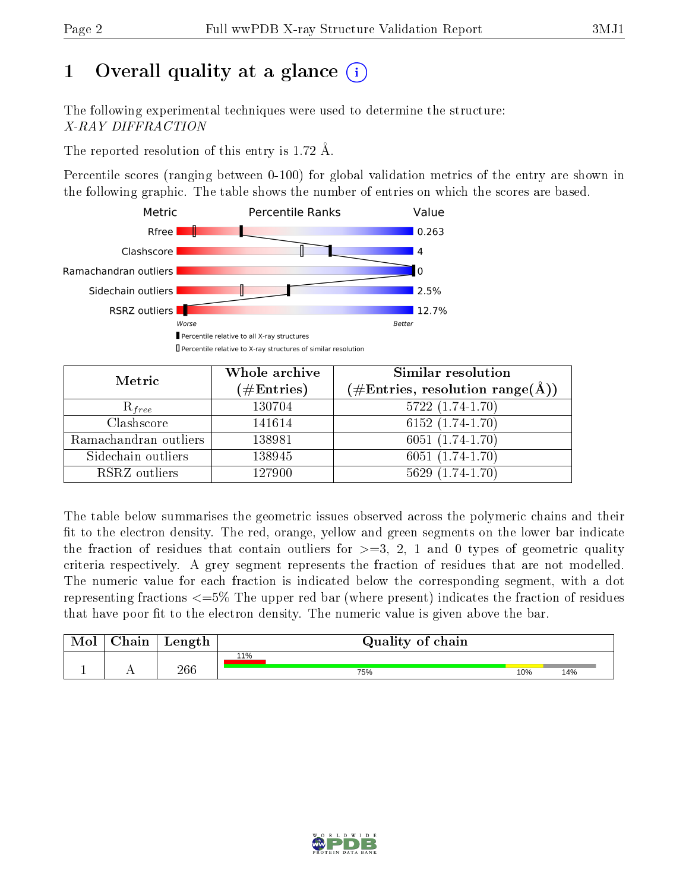# 1 [O](https://www.wwpdb.org/validation/2017/XrayValidationReportHelp#overall_quality)verall quality at a glance  $(i)$

The following experimental techniques were used to determine the structure: X-RAY DIFFRACTION

The reported resolution of this entry is 1.72 Å.

Percentile scores (ranging between 0-100) for global validation metrics of the entry are shown in the following graphic. The table shows the number of entries on which the scores are based.



| Metric                | Whole archive<br>$(\#\text{Entries})$ | <b>Similar resolution</b><br>(#Entries, resolution range( $\AA$ )) |  |  |
|-----------------------|---------------------------------------|--------------------------------------------------------------------|--|--|
| $R_{free}$            | 130704                                | $5722(1.74-1.70)$                                                  |  |  |
| Clashscore            | 141614                                | $6152(1.74-1.70)$                                                  |  |  |
| Ramachandran outliers | 138981                                | $6051(1.74-1.70)$                                                  |  |  |
| Sidechain outliers    | 138945                                | $6051(1.74-1.70)$                                                  |  |  |
| RSRZ outliers         | 127900                                | $5629(1.74-1.70)$                                                  |  |  |

The table below summarises the geometric issues observed across the polymeric chains and their fit to the electron density. The red, orange, yellow and green segments on the lower bar indicate the fraction of residues that contain outliers for  $>=$  3, 2, 1 and 0 types of geometric quality criteria respectively. A grey segment represents the fraction of residues that are not modelled. The numeric value for each fraction is indicated below the corresponding segment, with a dot representing fractions  $\epsilon=5\%$  The upper red bar (where present) indicates the fraction of residues that have poor fit to the electron density. The numeric value is given above the bar.

| Mol       | $\alpha$ hain | Length | Quality of chain |     |     |
|-----------|---------------|--------|------------------|-----|-----|
|           |               |        | 11%              |     |     |
| <u>д.</u> | . .           | 266    | 75%              | 10% | 14% |

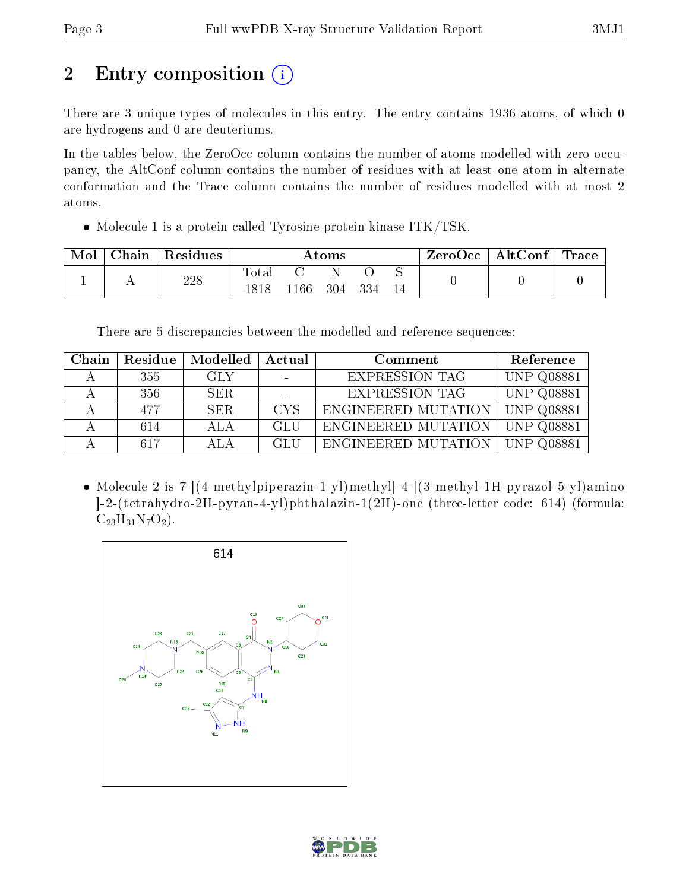# 2 Entry composition (i)

There are 3 unique types of molecules in this entry. The entry contains 1936 atoms, of which 0 are hydrogens and 0 are deuteriums.

In the tables below, the ZeroOcc column contains the number of atoms modelled with zero occupancy, the AltConf column contains the number of residues with at least one atom in alternate conformation and the Trace column contains the number of residues modelled with at most 2 atoms.

• Molecule 1 is a protein called Tyrosine-protein kinase ITK/TSK.

| Mol | Chain | Residues | $\rm{Atoms}$ |         |     |     | ZeroOcc | $\mid$ AltConf $\mid$ Trace |  |  |
|-----|-------|----------|--------------|---------|-----|-----|---------|-----------------------------|--|--|
|     |       | 228      | Total        |         |     |     |         |                             |  |  |
|     |       |          | .818         | $166\,$ | 304 | 334 | 14      |                             |  |  |

There are 5 discrepancies between the modelled and reference sequences:

| Chain | Residue | Modelled | Actual     | Comment               | Reference         |
|-------|---------|----------|------------|-----------------------|-------------------|
|       | 355     | GLY      |            | <b>EXPRESSION TAG</b> | <b>UNP Q08881</b> |
|       | 356     | SER.     |            | <b>EXPRESSION TAG</b> | <b>UNP Q08881</b> |
|       | 477     | SER.     | <b>CYS</b> | ENGINEERED MUTATION   | <b>UNP Q08881</b> |
|       | 614     | ALA      | GLU        | ENGINEERED MUTATION   | <b>UNP Q08881</b> |
|       | 617     | AL A     | <b>GLU</b> | ENGINEERED MUTATION   | <b>UNP Q08881</b> |

• Molecule 2 is 7-[(4-methylpiperazin-1-yl)methyl-4-[(3-methyl-1H-pyrazol-5-yl)amino ]-2-(tetrahydro-2H-pyran-4-yl)phthalazin-1(2H)-one (three-letter code: 614) (formula:  $C_{23}H_{31}N_7O_2$ .



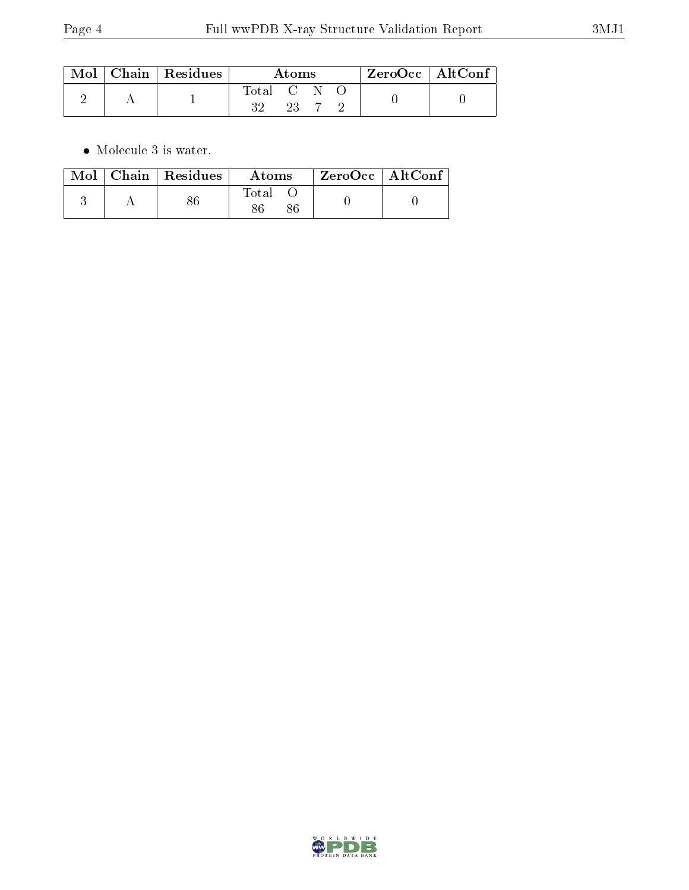|  | $\mid$ Mol $\mid$ Chain $\mid$ Residues | Atoms     |  |  | $ZeroOcc \   \ \text{AltConf}$ |  |
|--|-----------------------------------------|-----------|--|--|--------------------------------|--|
|  |                                         | Total C N |  |  |                                |  |

 $\bullet\,$  Molecule 3 is water.

|  | $Mol$   Chain   Residues | Atoms | ZeroOcc   AltConf |  |
|--|--------------------------|-------|-------------------|--|
|  |                          | Fotal |                   |  |

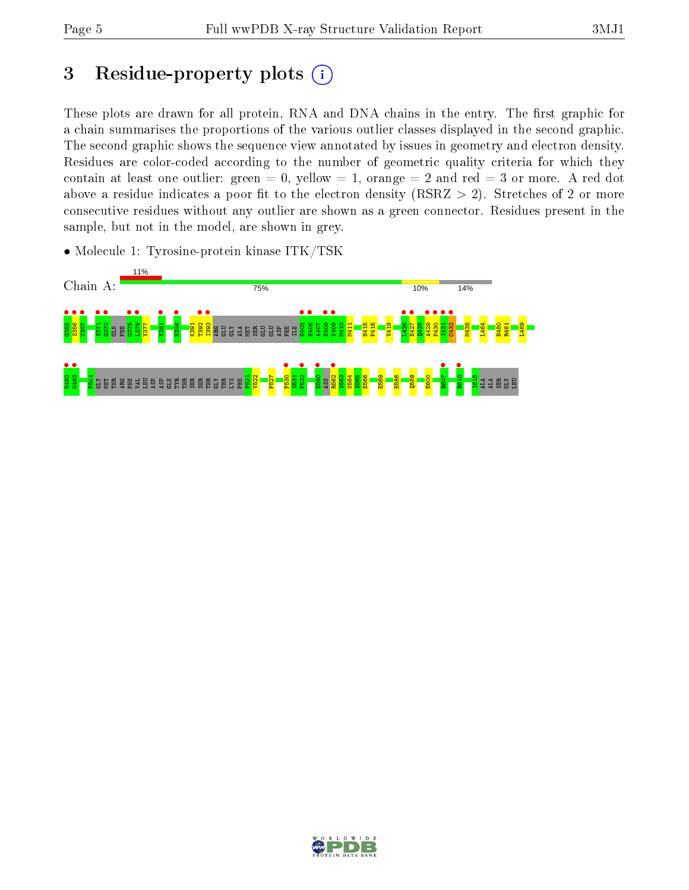# 3 Residue-property plots  $(i)$

These plots are drawn for all protein, RNA and DNA chains in the entry. The first graphic for a chain summarises the proportions of the various outlier classes displayed in the second graphic. The second graphic shows the sequence view annotated by issues in geometry and electron density. Residues are color-coded according to the number of geometric quality criteria for which they contain at least one outlier: green  $= 0$ , yellow  $= 1$ , orange  $= 2$  and red  $= 3$  or more. A red dot above a residue indicates a poor fit to the electron density (RSRZ  $> 2$ ). Stretches of 2 or more consecutive residues without any outlier are shown as a green connector. Residues present in the sample, but not in the model, are shown in grey.

• Molecule 1: Tyrosine-protein kinase ITK/TSK



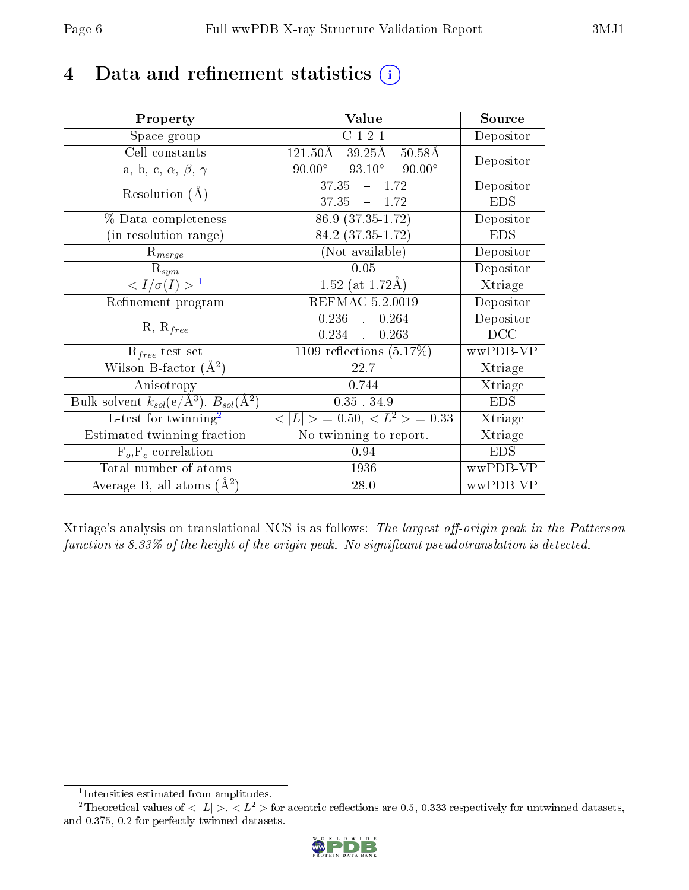## 4 Data and refinement statistics  $(i)$

| Property                                                             | Value                                                                   | Source     |
|----------------------------------------------------------------------|-------------------------------------------------------------------------|------------|
| Space group                                                          | C121                                                                    | Depositor  |
| Cell constants                                                       | $121.50\overline{\mathrm{A}}$<br>$39.25\text{\AA}$<br>$50.58\text{\AA}$ | Depositor  |
| a, b, c, $\alpha$ , $\beta$ , $\gamma$                               | $93.10^{\circ}$ $90.00^{\circ}$<br>$90.00^{\circ}$                      |            |
| Resolution $(A)$                                                     | $37.35 - 1.72$                                                          | Depositor  |
|                                                                      | $37.35 = 1.72$                                                          | <b>EDS</b> |
| $\%$ Data completeness                                               | $86.9(37.35-1.72)$                                                      | Depositor  |
| (in resolution range)                                                | 84.2 (37.35-1.72)                                                       | <b>EDS</b> |
| $R_{merge}$                                                          | (Not available)                                                         | Depositor  |
| $\mathrm{R}_{sym}$                                                   | 0.05                                                                    | Depositor  |
| $\langle I/\sigma(I) \rangle^{-1}$                                   | 1.52 (at $1.72\text{\AA}$ )                                             | Xtriage    |
| Refinement program                                                   | <b>REFMAC 5.2.0019</b>                                                  | Depositor  |
|                                                                      | $0.236$ ,<br>0.264                                                      | Depositor  |
| $R, R_{free}$                                                        | 0.234,<br>0.263                                                         | DCC        |
| $R_{free}$ test set                                                  | 1109 reflections $(5.17\%)$                                             | wwPDB-VP   |
| Wilson B-factor $(A^2)$                                              | 22.7                                                                    | Xtriage    |
| Anisotropy                                                           | 0.744                                                                   | Xtriage    |
| Bulk solvent $k_{sol}(e/\mathring{A}^3)$ , $B_{sol}(\mathring{A}^2)$ | $0.35$ , $34.9$                                                         | <b>EDS</b> |
| L-test for $\overline{\text{twinning}}^2$                            | $< L >$ = 0.50, $< L2$ = 0.33                                           | Xtriage    |
| Estimated twinning fraction                                          | No twinning to report.                                                  | Xtriage    |
| $\overline{F_o}, \overline{F_c}$ correlation                         | 0.94                                                                    | <b>EDS</b> |
| Total number of atoms                                                | 1936                                                                    | wwPDB-VP   |
| Average B, all atoms $(A^2)$                                         | 28.0                                                                    | wwPDB-VP   |

Xtriage's analysis on translational NCS is as follows: The largest off-origin peak in the Patterson function is  $8.33\%$  of the height of the origin peak. No significant pseudotranslation is detected.

<sup>&</sup>lt;sup>2</sup>Theoretical values of  $\langle |L| \rangle$ ,  $\langle L^2 \rangle$  for acentric reflections are 0.5, 0.333 respectively for untwinned datasets, and 0.375, 0.2 for perfectly twinned datasets.



<span id="page-5-1"></span><span id="page-5-0"></span><sup>1</sup> Intensities estimated from amplitudes.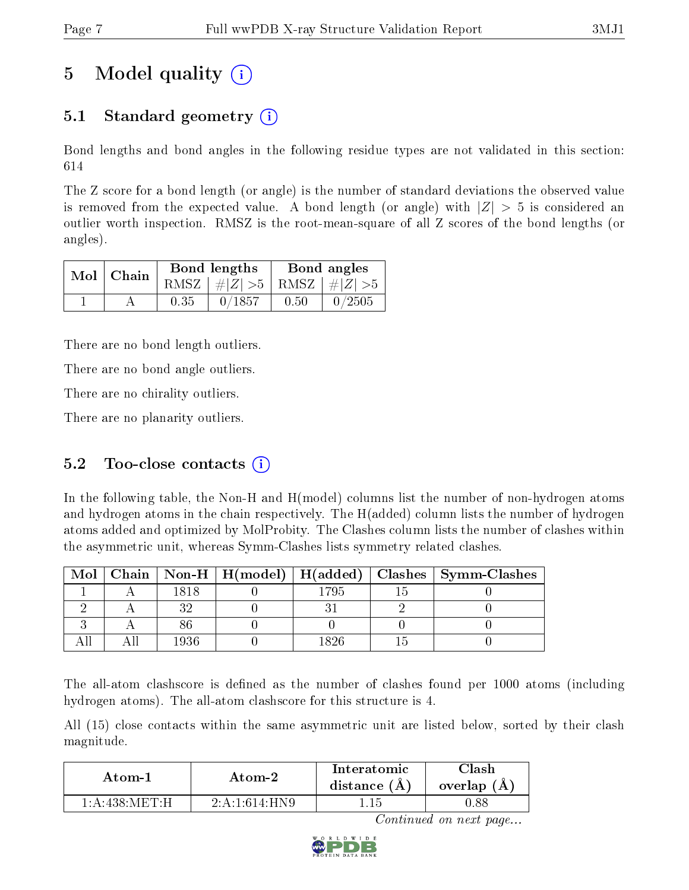# 5 Model quality  $(i)$

### 5.1 Standard geometry  $\overline{()}$

Bond lengths and bond angles in the following residue types are not validated in this section: 614

The Z score for a bond length (or angle) is the number of standard deviations the observed value is removed from the expected value. A bond length (or angle) with  $|Z| > 5$  is considered an outlier worth inspection. RMSZ is the root-mean-square of all Z scores of the bond lengths (or angles).

| $Mol$   Chain |      | Bond lengths                    | Bond angles |           |  |
|---------------|------|---------------------------------|-------------|-----------|--|
|               |      | RMSZ $ #Z  > 5$ RMSZ $ #Z  > 5$ |             |           |  |
|               | 0.35 | 0/1857                          | 0.50        | $-0/2505$ |  |

There are no bond length outliers.

There are no bond angle outliers.

There are no chirality outliers.

There are no planarity outliers.

### 5.2 Too-close contacts  $(i)$

In the following table, the Non-H and H(model) columns list the number of non-hydrogen atoms and hydrogen atoms in the chain respectively. The H(added) column lists the number of hydrogen atoms added and optimized by MolProbity. The Clashes column lists the number of clashes within the asymmetric unit, whereas Symm-Clashes lists symmetry related clashes.

| Mol |      |      | Chain   Non-H   H(model)   H(added)   Clashes   Symm-Clashes |
|-----|------|------|--------------------------------------------------------------|
|     | 1818 | 1795 |                                                              |
|     |      |      |                                                              |
|     |      |      |                                                              |
|     | 1936 |      |                                                              |

The all-atom clashscore is defined as the number of clashes found per 1000 atoms (including hydrogen atoms). The all-atom clashscore for this structure is 4.

All (15) close contacts within the same asymmetric unit are listed below, sorted by their clash magnitude.

| Atom-1                         | Atom-2         | Interatomic<br>distance $(A)$ | lash<br>overlap (A) |
|--------------------------------|----------------|-------------------------------|---------------------|
| $1:$ A :438: MET $\cdot$ H $-$ | $2.4.1614$ HN9 |                               | D.88                |

Continued on next page...

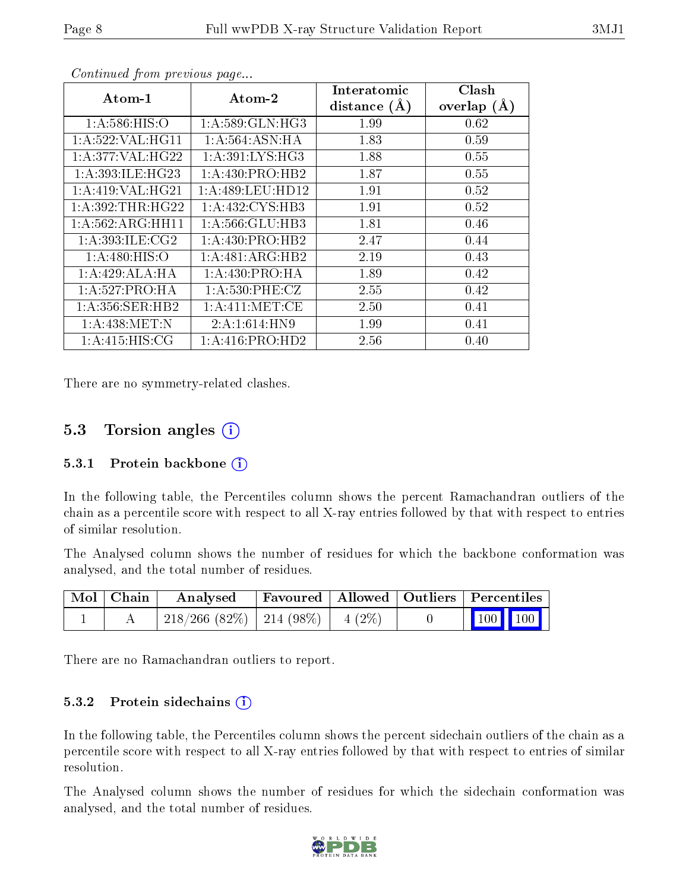| Atom-1              | Atom-2              | Interatomic<br>distance $(A)$ | Clash<br>overlap $(A)$ |
|---------------------|---------------------|-------------------------------|------------------------|
| 1: A:586: HIS:O     | 1: A:589: GLN: HG3  | 1.99                          | 0.62                   |
| 1: A:522: VAL:HGI1  | 1:A:564:ASN:HA      | 1.83                          | 0.59                   |
| 1:A:377:VAL:H G22   | 1: A:391:LYS:HG3    | 1.88                          | 0.55                   |
| 1: A:393: ILE: HG23 | 1: A: 430: PRO: HB2 | 1.87                          | 0.55                   |
| 1:A:419:VAL:HG21    | 1:A:489:LEU:HD12    | 1.91                          | 0.52                   |
| 1: A:392:THR:HG22   | 1: A: 432: CYS: HB3 | 1.91                          | 0.52                   |
| 1:A:562:ARG:HH11    | 1: A:566: GLU:HB3   | 1.81                          | 0.46                   |
| 1: A:393: ILE: CG2  | 1: A: 430: PRO: HB2 | 2.47                          | 0.44                   |
| 1: A:480: HIS:O     | 1:A:481:ARG:HB2     | 2.19                          | 0.43                   |
| 1:A:429:ALA:HA      | 1: A: 430: PRO: HA  | 1.89                          | 0.42                   |
| 1:A:527:PRO:HA      | 1: A:530: PHE: CZ   | 2.55                          | 0.42                   |
| 1: A:356: SER: HB2  | 1: A: 411: MET: CE  | 2.50                          | 0.41                   |
| 1: A:438:MET:N      | 2:A:1:614:HN9       | 1.99                          | 0.41                   |
| 1: A:415: HIS: CG   | 1:A:416:PRO:HD2     | 2.56                          | 0.40                   |

Continued from previous page...

There are no symmetry-related clashes.

### 5.3 Torsion angles (i)

#### 5.3.1 Protein backbone  $(i)$

In the following table, the Percentiles column shows the percent Ramachandran outliers of the chain as a percentile score with respect to all X-ray entries followed by that with respect to entries of similar resolution.

The Analysed column shows the number of residues for which the backbone conformation was analysed, and the total number of residues.

| Mol   Chain | $\boldsymbol{\mathrm{Analysed}}$        | Favoured   Allowed   Outliers   Percentiles |  |                 |
|-------------|-----------------------------------------|---------------------------------------------|--|-----------------|
|             | $218/266$ (82\%)   214 (98\%)   4 (2\%) |                                             |  | $\vert$ 100 100 |

There are no Ramachandran outliers to report.

#### 5.3.2 Protein sidechains  $(i)$

In the following table, the Percentiles column shows the percent sidechain outliers of the chain as a percentile score with respect to all X-ray entries followed by that with respect to entries of similar resolution.

The Analysed column shows the number of residues for which the sidechain conformation was analysed, and the total number of residues.

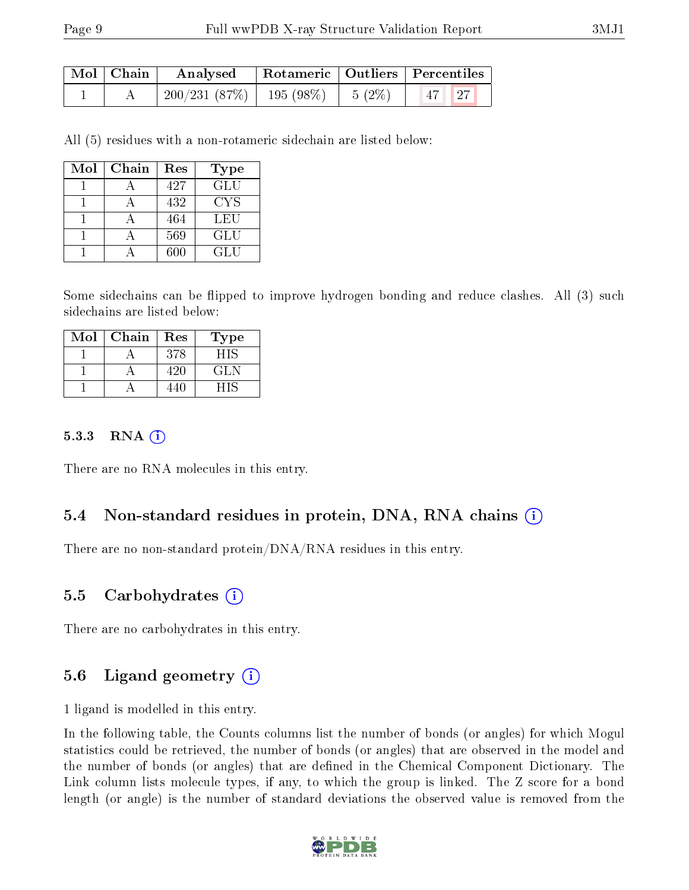| $\mid$ Mol $\mid$ Chain $\mid$ | Analysed                                                     |  | Rotameric   Outliers   Percentiles |  |
|--------------------------------|--------------------------------------------------------------|--|------------------------------------|--|
|                                | $\mid$ 200/231 (87%) $\mid$ 195 (98%) $\mid$ 5 (2%) $\mid$ 1 |  | $\vert 47 \vert \vert 27 \vert$    |  |

All (5) residues with a non-rotameric sidechain are listed below:

| Mol | Chain | Res | Type |
|-----|-------|-----|------|
|     |       | 427 | GLU  |
|     |       | 432 | CYS  |
|     |       | 464 | LEU  |
|     |       | 569 | GLU  |
|     |       | 600 | GLU  |

Some sidechains can be flipped to improve hydrogen bonding and reduce clashes. All (3) such sidechains are listed below:

| Mol | Chain | Res | Type |
|-----|-------|-----|------|
|     |       | 378 | HIS  |
|     |       | 42O | GLN  |
|     |       |     |      |

#### 5.3.3 RNA [O](https://www.wwpdb.org/validation/2017/XrayValidationReportHelp#rna)i

There are no RNA molecules in this entry.

### 5.4 Non-standard residues in protein, DNA, RNA chains (i)

There are no non-standard protein/DNA/RNA residues in this entry.

#### 5.5 Carbohydrates (i)

There are no carbohydrates in this entry.

### 5.6 Ligand geometry (i)

1 ligand is modelled in this entry.

In the following table, the Counts columns list the number of bonds (or angles) for which Mogul statistics could be retrieved, the number of bonds (or angles) that are observed in the model and the number of bonds (or angles) that are defined in the Chemical Component Dictionary. The Link column lists molecule types, if any, to which the group is linked. The Z score for a bond length (or angle) is the number of standard deviations the observed value is removed from the

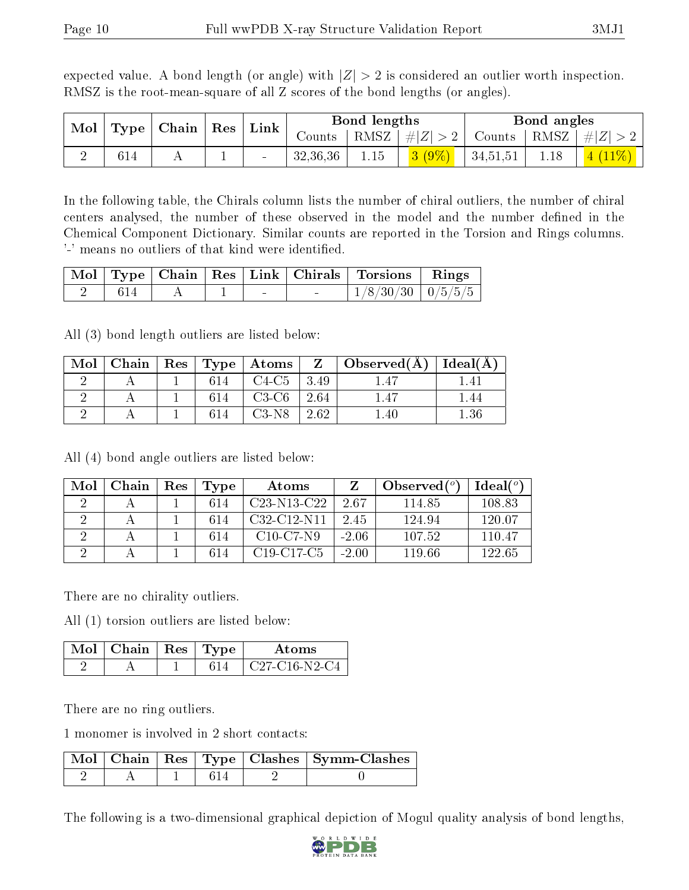expected value. A bond length (or angle) with  $|Z| > 2$  is considered an outlier worth inspection. RMSZ is the root-mean-square of all Z scores of the bond lengths (or angles).

|     | Mol   Type   Chain   Res   Link |  |          | Bond lengths |          |          | Bond angles |                                                                              |
|-----|---------------------------------|--|----------|--------------|----------|----------|-------------|------------------------------------------------------------------------------|
|     |                                 |  | Counts   |              |          |          |             | $\mid$ RMSZ $\mid \#  Z  > 2 \mid$ Counts $\mid$ RMSZ $\mid \#  Z  > 2 \mid$ |
| 614 |                                 |  | 32,36,36 | 1.15         | $3(9\%)$ | 34,51,51 | 1.18        |                                                                              |

In the following table, the Chirals column lists the number of chiral outliers, the number of chiral centers analysed, the number of these observed in the model and the number defined in the Chemical Component Dictionary. Similar counts are reported in the Torsion and Rings columns. '-' means no outliers of that kind were identified.

|      |   |  |                                   | Mol   Type   Chain   Res   Link   Chirals   Torsions   Rings |  |
|------|---|--|-----------------------------------|--------------------------------------------------------------|--|
| -614 | A |  | <b>Contract Contract Contract</b> | $\mid$ 1/8/30/30 $\mid$ 0/5/5/5                              |  |

All (3) bond length outliers are listed below:

| Mol | Chain |     |         |         | $\mid$ Res $\mid$ Type $\mid$ Atoms $\mid$ Z $\mid$ Observed(A) $\mid$ Ideal(A) |          |
|-----|-------|-----|---------|---------|---------------------------------------------------------------------------------|----------|
|     |       | 614 | $C4-C5$ | $+3.49$ |                                                                                 |          |
|     |       | 614 | $C3-C6$ | 2.64    | .47                                                                             |          |
|     |       |     | $C3-N8$ | 2.62    | .40                                                                             | $1.36\,$ |

All (4) bond angle outliers are listed below:

| Mol | Chain | $\operatorname{Res}% \left( \mathcal{N}\right) \equiv\operatorname{Res}(\mathcal{N}_{0},\mathcal{N}_{0})$ | Type | Atoms                                             |         | Observed $(°)$ | Ideal (°) |
|-----|-------|-----------------------------------------------------------------------------------------------------------|------|---------------------------------------------------|---------|----------------|-----------|
|     |       |                                                                                                           | 614  | C <sub>23</sub> -N <sub>13</sub> -C <sub>22</sub> | 2.67    | 114.85         | 108.83    |
|     |       |                                                                                                           | 614  | C <sub>32</sub> -C <sub>12</sub> -N <sub>11</sub> | 2.45    | 124.94         | 120.07    |
|     |       |                                                                                                           | 614  | $C10-C7-N9$                                       | $-2.06$ | 107.52         | 110.47    |
|     |       |                                                                                                           | 614  | C <sub>19</sub> -C <sub>17</sub> -C <sub>5</sub>  | $-2.00$ | 119.66         | 122.65    |

There are no chirality outliers.

All (1) torsion outliers are listed below:

| $Mol$   Chain | Res   Type | Atoms           |
|---------------|------------|-----------------|
|               |            | $C27-C16-N2-C4$ |

There are no ring outliers.

1 monomer is involved in 2 short contacts:

|  |  | Mol   Chain   Res   Type   Clashes   Symm-Clashes |
|--|--|---------------------------------------------------|
|  |  |                                                   |

The following is a two-dimensional graphical depiction of Mogul quality analysis of bond lengths,

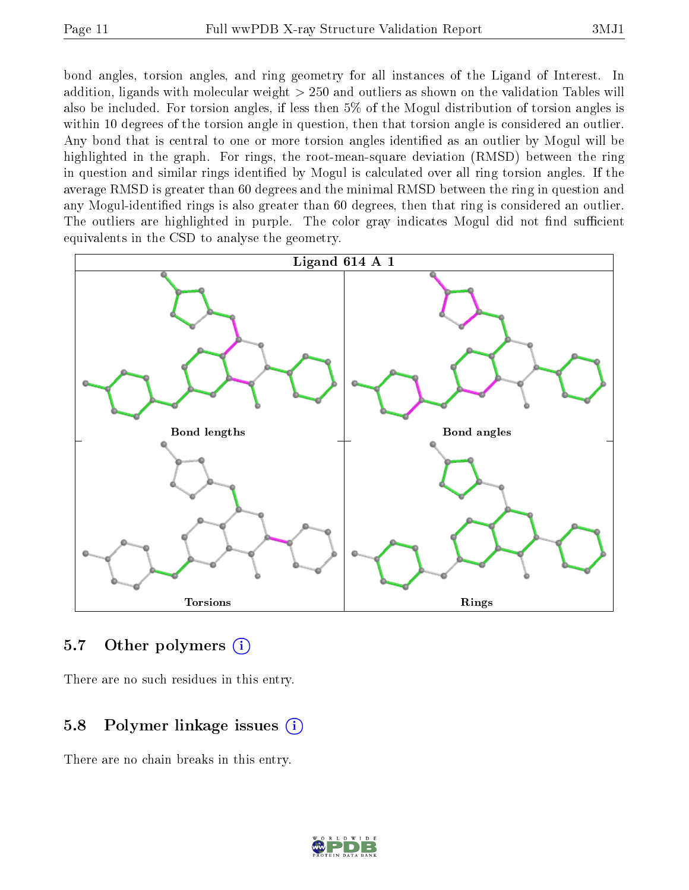bond angles, torsion angles, and ring geometry for all instances of the Ligand of Interest. In addition, ligands with molecular weight > 250 and outliers as shown on the validation Tables will also be included. For torsion angles, if less then 5% of the Mogul distribution of torsion angles is within 10 degrees of the torsion angle in question, then that torsion angle is considered an outlier. Any bond that is central to one or more torsion angles identified as an outlier by Mogul will be highlighted in the graph. For rings, the root-mean-square deviation (RMSD) between the ring in question and similar rings identified by Mogul is calculated over all ring torsion angles. If the average RMSD is greater than 60 degrees and the minimal RMSD between the ring in question and any Mogul-identified rings is also greater than 60 degrees, then that ring is considered an outlier. The outliers are highlighted in purple. The color gray indicates Mogul did not find sufficient equivalents in the CSD to analyse the geometry.



#### 5.7 [O](https://www.wwpdb.org/validation/2017/XrayValidationReportHelp#nonstandard_residues_and_ligands)ther polymers (i)

There are no such residues in this entry.

### 5.8 Polymer linkage issues  $(i)$

There are no chain breaks in this entry.

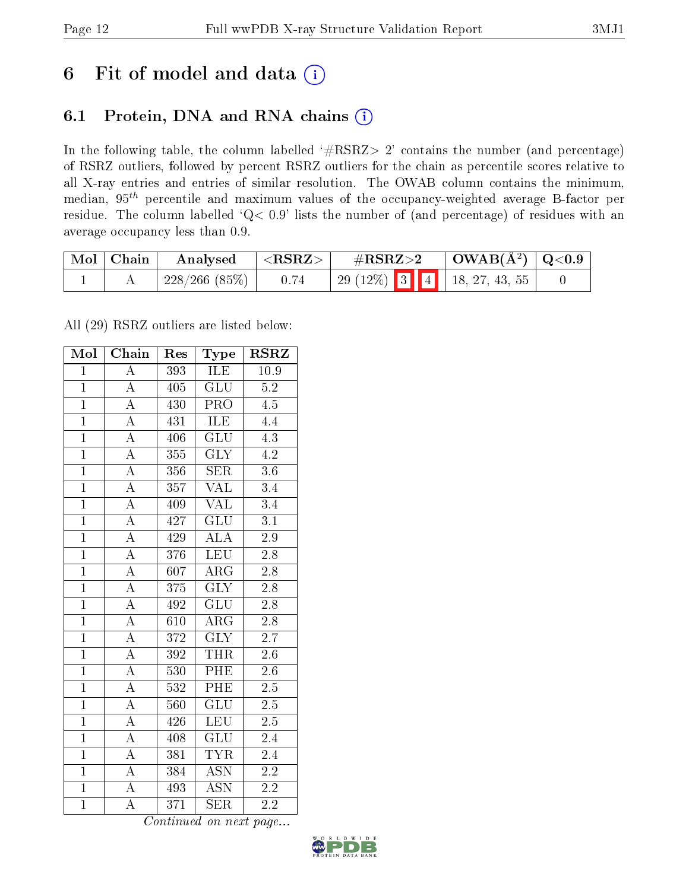## 6 Fit of model and data  $(i)$

### 6.1 Protein, DNA and RNA chains  $(i)$

In the following table, the column labelled  $#RSRZ> 2'$  contains the number (and percentage) of RSRZ outliers, followed by percent RSRZ outliers for the chain as percentile scores relative to all X-ray entries and entries of similar resolution. The OWAB column contains the minimum, median,  $95<sup>th</sup>$  percentile and maximum values of the occupancy-weighted average B-factor per residue. The column labelled ' $Q< 0.9$ ' lists the number of (and percentage) of residues with an average occupancy less than 0.9.

| $\mid$ Mol $\mid$ Chain | Analysed     | $^{\circ}$ <rsrz> <math>^{\circ}</math></rsrz> | $\rm \#RSRZ{>}2$ |  | $\vert$ OWAB( $\rm{\AA}^2$ ) $\vert$ Q<0.9 |  |
|-------------------------|--------------|------------------------------------------------|------------------|--|--------------------------------------------|--|
|                         | 228/266(85%) | 0.74                                           |                  |  | 29 (12%)   3   4   18, 27, 43, 55          |  |

All (29) RSRZ outliers are listed below:

| Mol            | Chain              | Res | <b>Type</b>               | <b>RSRZ</b>      |  |
|----------------|--------------------|-----|---------------------------|------------------|--|
| $\mathbf{1}$   | $\overline{\rm A}$ | 393 | ILE                       | 10.9             |  |
| $\overline{1}$ | $\overline{\rm A}$ | 405 | GLU                       | $\overline{5.2}$ |  |
| $\overline{1}$ | $\overline{\rm A}$ | 430 | <b>PRO</b>                | 4.5              |  |
| $\overline{1}$ | $\overline{\rm A}$ | 431 | ILE                       | 4.4              |  |
| $\overline{1}$ | $\overline{A}$     | 406 | $\overline{{\rm GLU}}$    | $\overline{4.3}$ |  |
| $\mathbf{1}$   | $\boldsymbol{A}$   | 355 | <b>GLY</b>                | 4.2              |  |
| $\overline{1}$ | $\overline{\rm A}$ | 356 | <b>SER</b>                | 3.6              |  |
| $\overline{1}$ | $\overline{\rm A}$ | 357 | $\overline{\text{VAL}}$   | $\overline{3.4}$ |  |
| $\overline{1}$ | $\overline{\rm A}$ | 409 | <b>VAL</b>                | $\overline{3.4}$ |  |
| $\overline{1}$ | $\overline{\rm A}$ | 427 | $\overline{\mathrm{GLU}}$ | $\overline{3.1}$ |  |
| $\mathbf{1}$   | $\boldsymbol{A}$   | 429 | $\overline{\rm ALA}$      | $2.9\,$          |  |
| $\overline{1}$ | $\overline{\rm A}$ | 376 | <b>LEU</b>                | $2.8\,$          |  |
| $\overline{1}$ | $\overline{\rm A}$ | 607 | $\rm{ARG}$                | 2.8              |  |
| $\overline{1}$ | $\overline{\rm A}$ | 375 | $\overline{\text{GLY}}$   | 2.8              |  |
| $\overline{1}$ | $\overline{\rm A}$ | 492 | $\overline{\mathrm{GLU}}$ | $\overline{2.8}$ |  |
| $\mathbf{1}$   | $\overline{\rm A}$ | 610 | $\rm{ARG}$                | 2.8              |  |
| $\overline{1}$ | $\overline{\rm A}$ | 372 | $\overline{\text{GLY}}$   | 2.7              |  |
| $\overline{1}$ | $\overline{\rm A}$ | 392 | <b>THR</b>                | 2.6              |  |
| $\overline{1}$ | $\overline{\rm A}$ | 530 | PHE                       | 2.6              |  |
| $\overline{1}$ | $\overline{\rm A}$ | 532 | PHE                       | $\overline{2.5}$ |  |
| $\overline{1}$ | $\overline{\rm A}$ | 560 | $\overline{\text{GLU}}$   | 2.5              |  |
| $\overline{1}$ | $\overline{\rm A}$ | 426 | <b>LEU</b>                | $\overline{2.5}$ |  |
| $\overline{1}$ | A                  | 408 | GLU                       | 2.4              |  |
| $\overline{1}$ | $\overline{A}$     | 381 | <b>TYR</b>                | 2.4              |  |
| $\overline{1}$ | $\overline{A}$     | 384 | <b>ASN</b>                | $\overline{2.2}$ |  |
| $\overline{1}$ | A                  | 493 | <b>ASN</b>                | 2.2              |  |
| $\overline{1}$ | $\overline{\rm A}$ | 371 | $\overline{\text{SER}}$   | $2.\overline{2}$ |  |

Continued on next page...

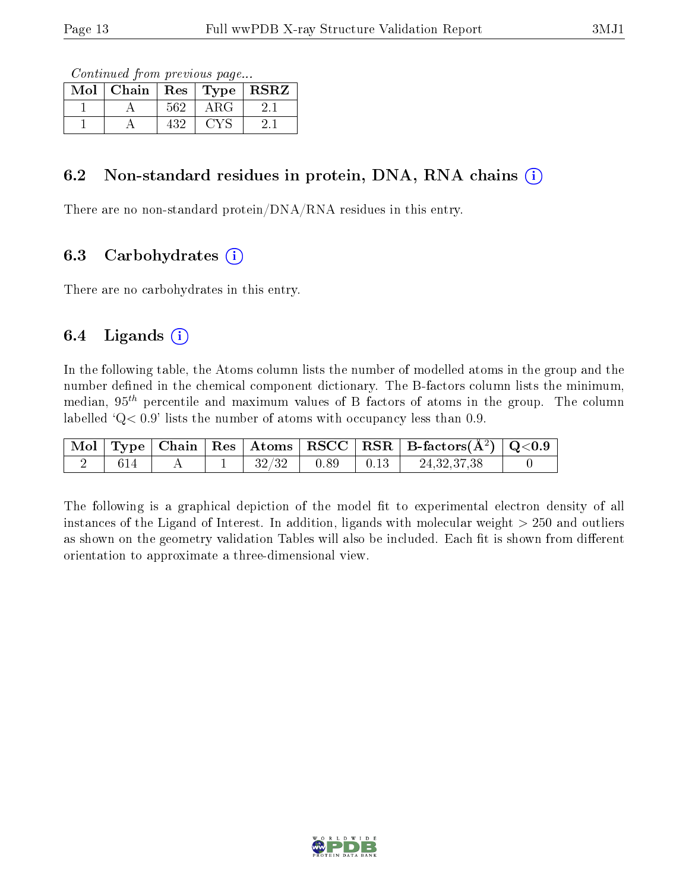Continued from previous page...

| Mol | Chain | $\operatorname{Res}$ | Type | <b>RSRZ</b> |
|-----|-------|----------------------|------|-------------|
|     |       | 562                  | A RG |             |
|     |       | 432                  |      |             |

### 6.2 Non-standard residues in protein, DNA, RNA chains  $(i)$

There are no non-standard protein/DNA/RNA residues in this entry.

### 6.3 Carbohydrates  $(i)$

There are no carbohydrates in this entry.

### 6.4 Ligands  $(i)$

In the following table, the Atoms column lists the number of modelled atoms in the group and the number defined in the chemical component dictionary. The B-factors column lists the minimum, median,  $95<sup>th</sup>$  percentile and maximum values of B factors of atoms in the group. The column labelled  $Q < 0.9$ ' lists the number of atoms with occupancy less than 0.9.

|     |  |                  |                  | $\vert$ Mol $\vert$ Type $\vert$ Chain $\vert$ Res $\vert$ Atoms $\vert$ RSCC $\vert$ RSR $\vert$ B-factors(A <sup>2</sup> ) $\vert$ Q<0.9 |  |
|-----|--|------------------|------------------|--------------------------------------------------------------------------------------------------------------------------------------------|--|
| 614 |  | $+32/32$ $+0.89$ | $\parallel$ 0.13 | 24, 32, 37, 38                                                                                                                             |  |

The following is a graphical depiction of the model fit to experimental electron density of all instances of the Ligand of Interest. In addition, ligands with molecular weight  $> 250$  and outliers as shown on the geometry validation Tables will also be included. Each fit is shown from different orientation to approximate a three-dimensional view.